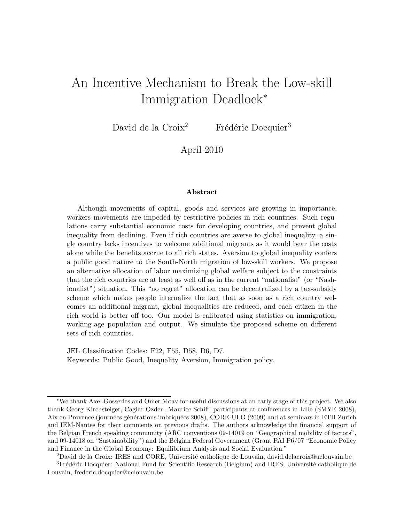# An Incentive Mechanism to Break the Low-skill Immigration Deadlock<sup>∗</sup>

David de la Croix<sup>2</sup> Frédéric Docquier<sup>3</sup>

April 2010

#### Abstract

Although movements of capital, goods and services are growing in importance, workers movements are impeded by restrictive policies in rich countries. Such regulations carry substantial economic costs for developing countries, and prevent global inequality from declining. Even if rich countries are averse to global inequality, a single country lacks incentives to welcome additional migrants as it would bear the costs alone while the benefits accrue to all rich states. Aversion to global inequality confers a public good nature to the South-North migration of low-skill workers. We propose an alternative allocation of labor maximizing global welfare subject to the constraints that the rich countries are at least as well off as in the current "nationalist" (or "Nashionalist") situation. This "no regret" allocation can be decentralized by a tax-subsidy scheme which makes people internalize the fact that as soon as a rich country welcomes an additional migrant, global inequalities are reduced, and each citizen in the rich world is better off too. Our model is calibrated using statistics on immigration, working-age population and output. We simulate the proposed scheme on different sets of rich countries.

JEL Classification Codes: F22, F55, D58, D6, D7. Keywords: Public Good, Inequality Aversion, Immigration policy.

<sup>∗</sup>We thank Axel Gosseries and Omer Moav for useful discussions at an early stage of this project. We also thank Georg Kirchsteiger, Caglar Ozden, Maurice Schiff, participants at conferences in Lille (SMYE 2008), Aix en Provence (journées générations imbriquées 2008), CORE-ULG (2009) and at seminars in ETH Zurich and IEM-Nantes for their comments on previous drafts. The authors acknowledge the financial support of the Belgian French speaking community (ARC conventions 09-14019 on "Geographical mobility of factors", and 09-14018 on "Sustainability") and the Belgian Federal Government (Grant PAI P6/07 "Economic Policy and Finance in the Global Economy: Equilibrium Analysis and Social Evaluation."

<sup>&</sup>lt;sup>2</sup>David de la Croix: IRES and CORE, Université catholique de Louvain, david.delacroix@uclouvain.be

<sup>&</sup>lt;sup>3</sup>Frédéric Docquier: National Fund for Scientific Research (Belgium) and IRES, Université catholique de Louvain, frederic.docquier@uclouvain.be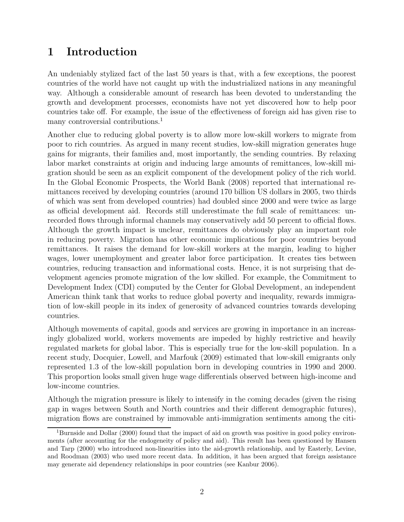# 1 Introduction

An undeniably stylized fact of the last 50 years is that, with a few exceptions, the poorest countries of the world have not caught up with the industrialized nations in any meaningful way. Although a considerable amount of research has been devoted to understanding the growth and development processes, economists have not yet discovered how to help poor countries take off. For example, the issue of the effectiveness of foreign aid has given rise to many controversial contributions.<sup>1</sup>

Another clue to reducing global poverty is to allow more low-skill workers to migrate from poor to rich countries. As argued in many recent studies, low-skill migration generates huge gains for migrants, their families and, most importantly, the sending countries. By relaxing labor market constraints at origin and inducing large amounts of remittances, low-skill migration should be seen as an explicit component of the development policy of the rich world. In the Global Economic Prospects, the World Bank (2008) reported that international remittances received by developing countries (around 170 billion US dollars in 2005, two thirds of which was sent from developed countries) had doubled since 2000 and were twice as large as official development aid. Records still underestimate the full scale of remittances: unrecorded flows through informal channels may conservatively add 50 percent to official flows. Although the growth impact is unclear, remittances do obviously play an important role in reducing poverty. Migration has other economic implications for poor countries beyond remittances. It raises the demand for low-skill workers at the margin, leading to higher wages, lower unemployment and greater labor force participation. It creates ties between countries, reducing transaction and informational costs. Hence, it is not surprising that development agencies promote migration of the low skilled. For example, the Commitment to Development Index (CDI) computed by the Center for Global Development, an independent American think tank that works to reduce global poverty and inequality, rewards immigration of low-skill people in its index of generosity of advanced countries towards developing countries.

Although movements of capital, goods and services are growing in importance in an increasingly globalized world, workers movements are impeded by highly restrictive and heavily regulated markets for global labor. This is especially true for the low-skill population. In a recent study, Docquier, Lowell, and Marfouk (2009) estimated that low-skill emigrants only represented 1.3 of the low-skill population born in developing countries in 1990 and 2000. This proportion looks small given huge wage differentials observed between high-income and low-income countries.

Although the migration pressure is likely to intensify in the coming decades (given the rising gap in wages between South and North countries and their different demographic futures), migration flows are constrained by immovable anti-immigration sentiments among the citi-

<sup>&</sup>lt;sup>1</sup>Burnside and Dollar (2000) found that the impact of aid on growth was positive in good policy environments (after accounting for the endogeneity of policy and aid). This result has been questioned by Hansen and Tarp (2000) who introduced non-linearities into the aid-growth relationship, and by Easterly, Levine, and Roodman (2003) who used more recent data. In addition, it has been argued that foreign assistance may generate aid dependency relationships in poor countries (see Kanbur 2006).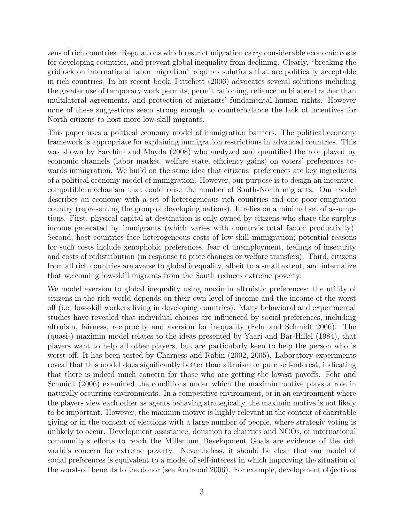zens of rich countries. Regulations which restrict migration carry considerable economic costs for developing countries, and prevent global inequality from declining. Clearly, "breaking the gridlock on international labor migration" requires solutions that are politically acceptable in rich countries. In his recent book, Pritchett (2006) advocates several solutions including the greater use of temporary work permits, permit rationing, reliance on bilateral rather than multilateral agreements, and protection of migrants' fundamental human rights. However none of these suggestions seem strong enough to counterbalance the lack of incentives for North citizens to host more low-skill migrants.

This paper uses a political economy model of immigration barriers. The political economy framework is appropriate for explaining immigration restrictions in advanced countries. This was shown by Facchini and Mayda (2008) who analyzed and quantified the role played by economic channels (labor market, welfare state, efficiency gains) on voters' preferences towards immigration. We build on the same idea that citizens' preferences are key ingredients of a political economy model of immigration. However, our purpose is to design an incentivecompatible mechanism that could raise the number of South-North migrants. Our model describes an economy with a set of heterogeneous rich countries and one poor emigration country (representing the group of developing nations). It relies on a minimal set of assumptions. First, physical capital at destination is only owned by citizens who share the surplus income generated by immigrants (which varies with country's total factor productivity). Second, host countries face heterogeneous costs of low-skill immigration; potential reasons for such costs include xenophobic preferences, fear of unemployment, feelings of insecurity and costs of redistribution (in response to price changes or welfare transfers). Third, citizens from all rich countries are averse to global inequality, albeit to a small extent, and internalize that welcoming low-skill migrants from the South reduces extreme poverty.

We model aversion to global inequality using maximin altruistic preferences: the utility of citizens in the rich world depends on their own level of income and the income of the worst off (i.e. low-skill workers living in developing countries). Many behavioral and experimental studies have revealed that individual choices are influenced by social preferences, including altruism, fairness, reciprocity and aversion for inequality (Fehr and Schmidt 2006). The (quasi-) maximin model relates to the ideas presented by Yaari and Bar-Hillel (1984), that players want to help all other players, but are particularly keen to help the person who is worst off. It has been tested by Charness and Rabin (2002, 2005). Laboratory experiments reveal that this model does significantly better than altruism or pure self-interest, indicating that there is indeed much concern for those who are getting the lowest payoffs. Fehr and Schmidt (2006) examined the conditions under which the maximin motive plays a role in naturally occurring environments. In a competitive environment, or in an environment where the players view each other as agents behaving strategically, the maximin motive is not likely to be important. However, the maximin motive is highly relevant in the context of charitable giving or in the context of elections with a large number of people, where strategic voting is unlikely to occur. Development assistance, donation to charities and NGOs, or international community's efforts to reach the Millenium Development Goals are evidence of the rich world's concern for extreme poverty. Nevertheless, it should be clear that our model of social preferences is equivalent to a model of self-interest in which improving the situation of the worst-off benefits to the donor (see Andreoni 2006). For example, development objectives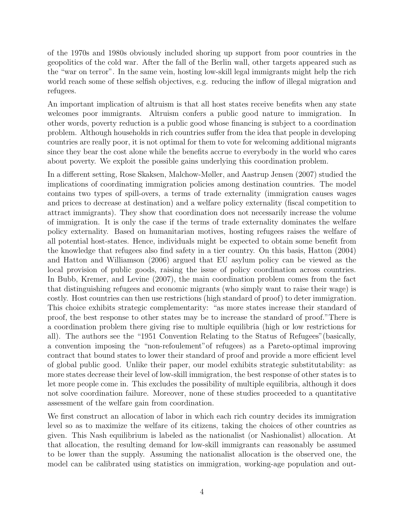of the 1970s and 1980s obviously included shoring up support from poor countries in the geopolitics of the cold war. After the fall of the Berlin wall, other targets appeared such as the "war on terror". In the same vein, hosting low-skill legal immigrants might help the rich world reach some of these selfish objectives, e.g. reducing the inflow of illegal migration and refugees.

An important implication of altruism is that all host states receive benefits when any state welcomes poor immigrants. Altruism confers a public good nature to immigration. In other words, poverty reduction is a public good whose financing is subject to a coordination problem. Although households in rich countries suffer from the idea that people in developing countries are really poor, it is not optimal for them to vote for welcoming additional migrants since they bear the cost alone while the benefits accrue to everybody in the world who cares about poverty. We exploit the possible gains underlying this coordination problem.

In a different setting, Rose Skaksen, Malchow-Møller, and Aastrup Jensen (2007) studied the implications of coordinating immigration policies among destination countries. The model contains two types of spill-overs, a terms of trade externality (immigration causes wages and prices to decrease at destination) and a welfare policy externality (fiscal competition to attract immigrants). They show that coordination does not necessarily increase the volume of immigration. It is only the case if the terms of trade externality dominates the welfare policy externality. Based on humanitarian motives, hosting refugees raises the welfare of all potential host-states. Hence, individuals might be expected to obtain some benefit from the knowledge that refugees also find safety in a tier country. On this basis, Hatton (2004) and Hatton and Williamson (2006) argued that EU asylum policy can be viewed as the local provision of public goods, raising the issue of policy coordination across countries. In Bubb, Kremer, and Levine (2007), the main coordination problem comes from the fact that distinguishing refugees and economic migrants (who simply want to raise their wage) is costly. Host countries can then use restrictions (high standard of proof) to deter immigration. This choice exhibits strategic complementarity: "as more states increase their standard of proof, the best response to other states may be to increase the standard of proof."There is a coordination problem there giving rise to multiple equilibria (high or low restrictions for all). The authors see the "1951 Convention Relating to the Status of Refugees"(basically, a convention imposing the "non-refoulement"of refugees) as a Pareto-optimal improving contract that bound states to lower their standard of proof and provide a more efficient level of global public good. Unlike their paper, our model exhibits strategic substitutability: as more states decrease their level of low-skill immigration, the best response of other states is to let more people come in. This excludes the possibility of multiple equilibria, although it does not solve coordination failure. Moreover, none of these studies proceeded to a quantitative assessment of the welfare gain from coordination.

We first construct an allocation of labor in which each rich country decides its immigration level so as to maximize the welfare of its citizens, taking the choices of other countries as given. This Nash equilibrium is labeled as the nationalist (or Nashionalist) allocation. At that allocation, the resulting demand for low-skill immigrants can reasonably be assumed to be lower than the supply. Assuming the nationalist allocation is the observed one, the model can be calibrated using statistics on immigration, working-age population and out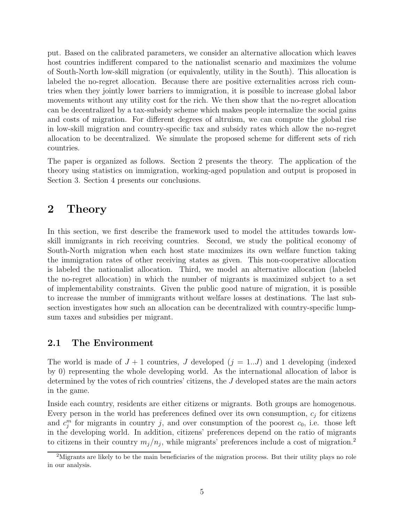put. Based on the calibrated parameters, we consider an alternative allocation which leaves host countries indifferent compared to the nationalist scenario and maximizes the volume of South-North low-skill migration (or equivalently, utility in the South). This allocation is labeled the no-regret allocation. Because there are positive externalities across rich countries when they jointly lower barriers to immigration, it is possible to increase global labor movements without any utility cost for the rich. We then show that the no-regret allocation can be decentralized by a tax-subsidy scheme which makes people internalize the social gains and costs of migration. For different degrees of altruism, we can compute the global rise in low-skill migration and country-specific tax and subsidy rates which allow the no-regret allocation to be decentralized. We simulate the proposed scheme for different sets of rich countries.

The paper is organized as follows. Section 2 presents the theory. The application of the theory using statistics on immigration, working-aged population and output is proposed in Section 3. Section 4 presents our conclusions.

# 2 Theory

In this section, we first describe the framework used to model the attitudes towards lowskill immigrants in rich receiving countries. Second, we study the political economy of South-North migration when each host state maximizes its own welfare function taking the immigration rates of other receiving states as given. This non-cooperative allocation is labeled the nationalist allocation. Third, we model an alternative allocation (labeled the no-regret allocation) in which the number of migrants is maximized subject to a set of implementability constraints. Given the public good nature of migration, it is possible to increase the number of immigrants without welfare losses at destinations. The last subsection investigates how such an allocation can be decentralized with country-specific lumpsum taxes and subsidies per migrant.

### 2.1 The Environment

The world is made of  $J + 1$  countries, J developed  $(j = 1..J)$  and 1 developing (indexed by 0) representing the whole developing world. As the international allocation of labor is determined by the votes of rich countries' citizens, the J developed states are the main actors in the game.

Inside each country, residents are either citizens or migrants. Both groups are homogenous. Every person in the world has preferences defined over its own consumption,  $c_j$  for citizens and  $c_j^m$  for migrants in country j, and over consumption of the poorest  $c_0$ , i.e. those left in the developing world. In addition, citizens' preferences depend on the ratio of migrants to citizens in their country  $m_j/n_j$ , while migrants' preferences include a cost of migration.<sup>2</sup>

<sup>&</sup>lt;sup>2</sup>Migrants are likely to be the main beneficiaries of the migration process. But their utility plays no role in our analysis.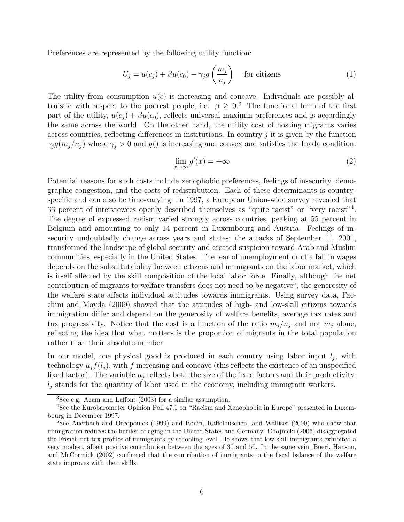Preferences are represented by the following utility function:

$$
U_j = u(c_j) + \beta u(c_0) - \gamma_j g\left(\frac{m_j}{n_j}\right) \quad \text{for citizens} \tag{1}
$$

The utility from consumption  $u(c)$  is increasing and concave. Individuals are possibly altruistic with respect to the poorest people, i.e.  $\beta > 0$ .<sup>3</sup> The functional form of the first part of the utility,  $u(c_i) + \beta u(c_0)$ , reflects universal maximin preferences and is accordingly the same across the world. On the other hand, the utility cost of hosting migrants varies across countries, reflecting differences in institutions. In country  $j$  it is given by the function  $\gamma_j g(m_j/n_j)$  where  $\gamma_j > 0$  and  $g(j)$  is increasing and convex and satisfies the Inada condition:

$$
\lim_{x \to \infty} g'(x) = +\infty \tag{2}
$$

Potential reasons for such costs include xenophobic preferences, feelings of insecurity, demographic congestion, and the costs of redistribution. Each of these determinants is countryspecific and can also be time-varying. In 1997, a European Union-wide survey revealed that 33 percent of interviewees openly described themselves as "quite racist" or "very racist"<sup>4</sup>. The degree of expressed racism varied strongly across countries, peaking at 55 percent in Belgium and amounting to only 14 percent in Luxembourg and Austria. Feelings of insecurity undoubtedly change across years and states; the attacks of September 11, 2001, transformed the landscape of global security and created suspicion toward Arab and Muslim communities, especially in the United States. The fear of unemployment or of a fall in wages depends on the substitutability between citizens and immigrants on the labor market, which is itself affected by the skill composition of the local labor force. Finally, although the net contribution of migrants to welfare transfers does not need to be negative<sup>5</sup>, the generosity of the welfare state affects individual attitudes towards immigrants. Using survey data, Facchini and Mayda (2009) showed that the attitudes of high- and low-skill citizens towards immigration differ and depend on the generosity of welfare benefits, average tax rates and tax progressivity. Notice that the cost is a function of the ratio  $m_j/n_j$  and not  $m_j$  alone, reflecting the idea that what matters is the proportion of migrants in the total population rather than their absolute number.

In our model, one physical good is produced in each country using labor input  $l_j$ , with technology  $\mu_i f(l_i)$ , with f increasing and concave (this reflects the existence of an unspecified fixed factor). The variable  $\mu_i$  reflects both the size of the fixed factors and their productivity.  $l_i$  stands for the quantity of labor used in the economy, including immigrant workers.

<sup>3</sup>See e.g. Azam and Laffont (2003) for a similar assumption.

<sup>&</sup>lt;sup>4</sup>See the Eurobarometer Opinion Poll 47.1 on "Racism and Xenophobia in Europe" presented in Luxembourg in December 1997.

 $5$ See Auerbach and Oreopoulos (1999) and Bonin, Raffelhüschen, and Walliser (2000) who show that immigration reduces the burden of aging in the United States and Germany. Chojnicki (2006) disaggregated the French net-tax profiles of immigrants by schooling level. He shows that low-skill immigrants exhibited a very modest, albeit positive contribution between the ages of 30 and 50. In the same vein, Boeri, Hanson, and McCormick (2002) confirmed that the contribution of immigrants to the fiscal balance of the welfare state improves with their skills.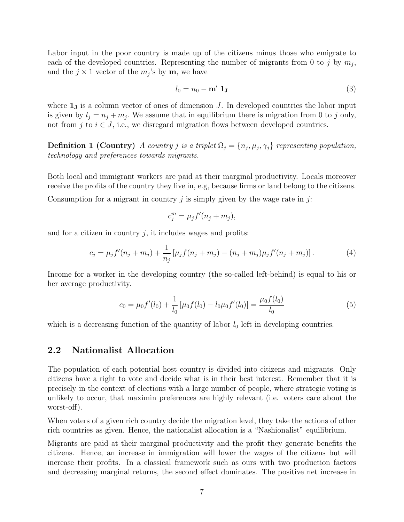Labor input in the poor country is made up of the citizens minus those who emigrate to each of the developed countries. Representing the number of migrants from 0 to j by  $m_j$ , and the  $j \times 1$  vector of the  $m_j$ 's by **m**, we have

$$
l_0 = n_0 - \mathbf{m}' \mathbf{1_J} \tag{3}
$$

where  $\mathbf{1}_J$  is a column vector of ones of dimension J. In developed countries the labor input is given by  $l_j = n_j + m_j$ . We assume that in equilibrium there is migration from 0 to j only, not from j to  $i \in J$ , i.e., we disregard migration flows between developed countries.

**Definition 1 (Country)** A country j is a triplet  $\Omega_j = \{n_j, \mu_j, \gamma_j\}$  representing population, technology and preferences towards migrants.

Both local and immigrant workers are paid at their marginal productivity. Locals moreover receive the profits of the country they live in, e.g, because firms or land belong to the citizens.

Consumption for a migrant in country j is simply given by the wage rate in j:

$$
c_j^m = \mu_j f'(n_j + m_j),
$$

and for a citizen in country  $j$ , it includes wages and profits:

$$
c_j = \mu_j f'(n_j + m_j) + \frac{1}{n_j} [\mu_j f(n_j + m_j) - (n_j + m_j) \mu_j f'(n_j + m_j)]. \tag{4}
$$

Income for a worker in the developing country (the so-called left-behind) is equal to his or her average productivity.

$$
c_0 = \mu_0 f'(l_0) + \frac{1}{l_0} \left[ \mu_0 f(l_0) - l_0 \mu_0 f'(l_0) \right] = \frac{\mu_0 f(l_0)}{l_0} \tag{5}
$$

which is a decreasing function of the quantity of labor  $l_0$  left in developing countries.

### 2.2 Nationalist Allocation

The population of each potential host country is divided into citizens and migrants. Only citizens have a right to vote and decide what is in their best interest. Remember that it is precisely in the context of elections with a large number of people, where strategic voting is unlikely to occur, that maximin preferences are highly relevant (i.e. voters care about the worst-off).

When voters of a given rich country decide the migration level, they take the actions of other rich countries as given. Hence, the nationalist allocation is a "Nashionalist" equilibrium.

Migrants are paid at their marginal productivity and the profit they generate benefits the citizens. Hence, an increase in immigration will lower the wages of the citizens but will increase their profits. In a classical framework such as ours with two production factors and decreasing marginal returns, the second effect dominates. The positive net increase in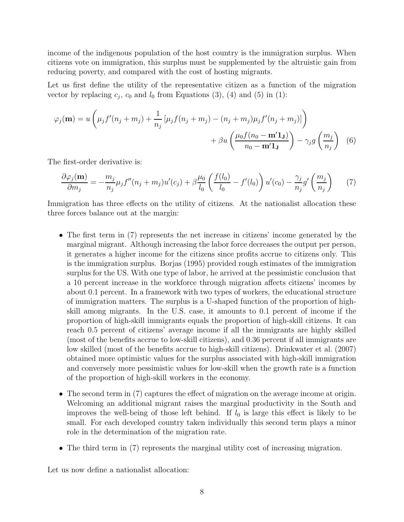income of the indigenous population of the host country is the immigration surplus. When citizens vote on immigration, this surplus must be supplemented by the altruistic gain from reducing poverty, and compared with the cost of hosting migrants.

Let us first define the utility of the representative citizen as a function of the migration vector by replacing  $c_j$ ,  $c_0$  and  $l_0$  from Equations (3), (4) and (5) in (1):

$$
\varphi_j(\mathbf{m}) = u \left( \mu_j f'(n_j + m_j) + \frac{1}{n_j} \left[ \mu_j f(n_j + m_j) - (n_j + m_j) \mu_j f'(n_j + m_j) \right] \right) + \beta u \left( \frac{\mu_0 f(n_0 - \mathbf{m}' \mathbf{1}_{\mathbf{J}})}{n_0 - \mathbf{m}' \mathbf{1}_{\mathbf{J}}} \right) - \gamma_j g \left( \frac{m_j}{n_j} \right) \tag{6}
$$

The first-order derivative is:

$$
\frac{\partial \varphi_j(\mathbf{m})}{\partial m_j} = -\frac{m_j}{n_j} \mu_j f''(n_j + m_j) u'(c_j) + \beta \frac{\mu_0}{l_0} \left( \frac{f(l_0)}{l_0} - f'(l_0) \right) u'(c_0) - \frac{\gamma_j}{n_j} g' \left( \frac{m_j}{n_j} \right) \tag{7}
$$

Immigration has three effects on the utility of citizens. At the nationalist allocation these three forces balance out at the margin:

- The first term in (7) represents the net increase in citizens' income generated by the marginal migrant. Although increasing the labor force decreases the output per person, it generates a higher income for the citizens since profits accrue to citizens only. This is the immigration surplus. Borjas (1995) provided rough estimates of the immigration surplus for the US. With one type of labor, he arrived at the pessimistic conclusion that a 10 percent increase in the workforce through migration affects citizens' incomes by about 0.1 percent. In a framework with two types of workers, the educational structure of immigration matters. The surplus is a U-shaped function of the proportion of highskill among migrants. In the U.S. case, it amounts to 0.1 percent of income if the proportion of high-skill immigrants equals the proportion of high-skill citizens. It can reach 0.5 percent of citizens' average income if all the immigrants are highly skilled (most of the benefits accrue to low-skill citizens), and 0.36 percent if all immigrants are low skilled (most of the benefits accrue to high-skill citizens). Drinkwater et al. (2007) obtained more optimistic values for the surplus associated with high-skill immigration and conversely more pessimistic values for low-skill when the growth rate is a function of the proportion of high-skill workers in the economy.
- The second term in (7) captures the effect of migration on the average income at origin. Welcoming an additional migrant raises the marginal productivity in the South and improves the well-being of those left behind. If  $l_0$  is large this effect is likely to be small. For each developed country taken individually this second term plays a minor role in the determination of the migration rate.
- The third term in (7) represents the marginal utility cost of increasing migration.

Let us now define a nationalist allocation: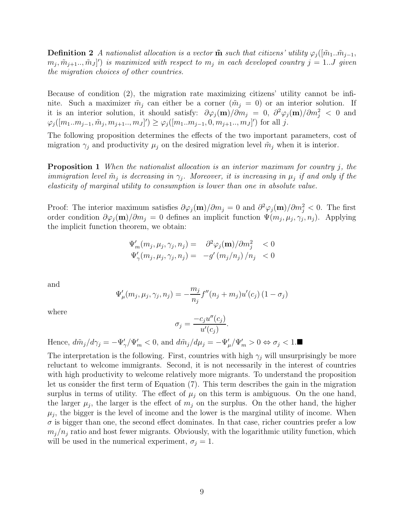**Definition 2** A nationalist allocation is a vector  $\tilde{\mathbf{m}}$  such that citizens' utility  $\varphi_i([\tilde{m}_1..\tilde{m}_{i-1},$  $(m_j, \tilde{m}_{j+1}...,\tilde{m}_J]')$  is maximized with respect to  $m_j$  in each developed country  $j = 1...J$  given the migration choices of other countries.

Because of condition (2), the migration rate maximizing citizens' utility cannot be infinite. Such a maximizer  $\tilde{m}_j$  can either be a corner  $(\tilde{m}_j = 0)$  or an interior solution. If it is an interior solution, it should satisfy:  $\partial\varphi_j(\mathbf{m})/\partial m_j = 0$ ,  $\partial^2\varphi_j(\mathbf{m})/\partial m_j^2 < 0$  and  $\varphi_j([m_1..m_{j-1}, \tilde{m}_j, m_{j+1}.., m_J]') \ge \varphi_j([m_1..m_{j-1}, 0, m_{j+1}.., m_J]')$  for all j.

The following proposition determines the effects of the two important parameters, cost of migration  $\gamma_j$  and productivity  $\mu_j$  on the desired migration level  $\tilde{m}_j$  when it is interior.

**Proposition 1** When the nationalist allocation is an interior maximum for country j, the immigration level  $\tilde{m}_j$  is decreasing in  $\gamma_j$ . Moreover, it is increasing in  $\mu_j$  if and only if the elasticity of marginal utility to consumption is lower than one in absolute value.

Proof: The interior maximum satisfies  $\partial\varphi_j(\mathbf{m})/\partial m_j = 0$  and  $\partial^2\varphi_j(\mathbf{m})/\partial m_j^2 < 0$ . The first order condition  $\partial \varphi_j(m)/\partial m_j = 0$  defines an implicit function  $\Psi(m_j, \mu_j, \gamma_j, n_j)$ . Applying the implicit function theorem, we obtain:

$$
\Psi'_{m}(m_j, \mu_j, \gamma_j, n_j) = \partial^2 \varphi_j(\mathbf{m}) / \partial m_j^2 < 0
$$
  

$$
\Psi'_{\gamma}(m_j, \mu_j, \gamma_j, n_j) = -g'(m_j/n_j) / n_j < 0
$$

and

$$
\Psi'_{\mu}(m_j, \mu_j, \gamma_j, n_j) = -\frac{m_j}{n_j} f''(n_j + m_j) u'(c_j) (1 - \sigma_j)
$$

where

$$
\sigma_j = \frac{-c_j u''(c_j)}{u'(c_j)}.
$$

Hence,  $d\tilde{m}_j/d\gamma_j = -\Psi_{\gamma}'/\Psi_{m}' < 0$ , and  $d\tilde{m}_j/d\mu_j = -\Psi_{\mu}'/\Psi_{m}' > 0 \Leftrightarrow \sigma_j < 1$ .

The interpretation is the following. First, countries with high  $\gamma_i$  will unsurprisingly be more reluctant to welcome immigrants. Second, it is not necessarily in the interest of countries with high productivity to welcome relatively more migrants. To understand the proposition let us consider the first term of Equation (7). This term describes the gain in the migration surplus in terms of utility. The effect of  $\mu_j$  on this term is ambiguous. On the one hand, the larger  $\mu_j$ , the larger is the effect of  $m_j$  on the surplus. On the other hand, the higher  $\mu_j$ , the bigger is the level of income and the lower is the marginal utility of income. When  $\sigma$  is bigger than one, the second effect dominates. In that case, richer countries prefer a low  $m_j/n_j$  ratio and host fewer migrants. Obviously, with the logarithmic utility function, which will be used in the numerical experiment,  $\sigma_j = 1$ .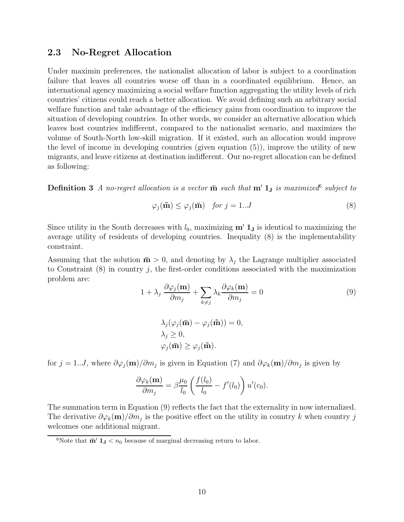### 2.3 No-Regret Allocation

Under maximin preferences, the nationalist allocation of labor is subject to a coordination failure that leaves all countries worse off than in a coordinated equilibrium. Hence, an international agency maximizing a social welfare function aggregating the utility levels of rich countries' citizens could reach a better allocation. We avoid defining such an arbitrary social welfare function and take advantage of the efficiency gains from coordination to improve the situation of developing countries. In other words, we consider an alternative allocation which leaves host countries indifferent, compared to the nationalist scenario, and maximizes the volume of South-North low-skill migration. If it existed, such an allocation would improve the level of income in developing countries (given equation (5)), improve the utility of new migrants, and leave citizens at destination indifferent. Our no-regret allocation can be defined as following:

**Definition 3** A no-regret allocation is a vector  $\bar{m}$  such that  $m' 1_J$  is maximized  $\delta$  subject to

$$
\varphi_j(\tilde{\mathbf{m}}) \le \varphi_j(\bar{\mathbf{m}}) \quad \text{for } j = 1..J \tag{8}
$$

Since utility in the South decreases with  $l_0$ , maximizing  $\mathbf{m}' \mathbf{1}_J$  is identical to maximizing the average utility of residents of developing countries. Inequality (8) is the implementability constraint.

Assuming that the solution  $\bar{\mathbf{m}} > 0$ , and denoting by  $\lambda_i$  the Lagrange multiplier associated to Constraint  $(8)$  in country j, the first-order conditions associated with the maximization problem are:

$$
1 + \lambda_j \frac{\partial \varphi_j(\mathbf{m})}{\partial m_j} + \sum_{k \neq j} \lambda_k \frac{\partial \varphi_k(\mathbf{m})}{\partial m_j} = 0
$$
\n
$$
\lambda_j(\varphi_j(\mathbf{\bar{m}}) - \varphi_j(\mathbf{\tilde{m}})) = 0,
$$
\n(9)

$$
\lambda_j(\varphi_j(\mathbf{m}) - \varphi_j(\mathbf{m})) = 0
$$
  

$$
\lambda_j \ge 0,
$$
  

$$
\varphi_j(\mathbf{\bar{m}}) \ge \varphi_j(\mathbf{\tilde{m}}).
$$

for  $j = 1...J$ , where  $\partial \varphi_j(m)/\partial m_j$  is given in Equation (7) and  $\partial \varphi_k(m)/\partial m_j$  is given by

$$
\frac{\partial \varphi_k(\mathbf{m})}{\partial m_j} = \beta \frac{\mu_0}{l_0} \left( \frac{f(l_0)}{l_0} - f'(l_0) \right) u'(c_0).
$$

The summation term in Equation (9) reflects the fact that the externality in now internalized. The derivative  $\partial \varphi_k(m)/\partial m_j$  is the positive effect on the utility in country k when country j welcomes one additional migrant.

<sup>&</sup>lt;sup>6</sup>Note that  $\bar{m}'$  **1**<sub>J</sub> <  $n_0$  because of marginal decreasing return to labor.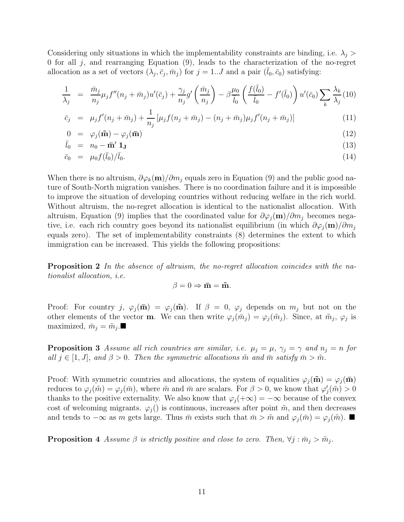Considering only situations in which the implementability constraints are binding, i.e.  $\lambda_i$ 0 for all  $j$ , and rearranging Equation  $(9)$ , leads to the characterization of the no-regret allocation as a set of vectors  $(\lambda_j, \bar{c}_j, \bar{m}_j)$  for  $j = 1...J$  and a pair  $(\bar{l}_0, \bar{c}_0)$  satisfying:

$$
\frac{1}{\lambda_j} = \frac{\bar{m}_j}{n_j} \mu_j f''(n_j + \bar{m}_j) u'(\bar{c}_j) + \frac{\gamma_j}{n_j} g' \left(\frac{\bar{m}_j}{n_j}\right) - \beta \frac{\mu_0}{\bar{l}_0} \left(\frac{f(\bar{l}_0)}{\bar{l}_0} - f'(\bar{l}_0)\right) u'(\bar{c}_0) \sum_k \frac{\lambda_k}{\lambda_j} (10)
$$

$$
\bar{c}_j = \mu_j f'(n_j + \bar{m}_j) + \frac{1}{n_j} [\mu_j f(n_j + \bar{m}_j) - (n_j + \bar{m}_j) \mu_j f'(n_j + \bar{m}_j)] \tag{11}
$$

$$
0 = \varphi_j(\tilde{\mathbf{m}}) - \varphi_j(\bar{\mathbf{m}}) \tag{12}
$$

$$
\bar{l}_0 = n_0 - \bar{\mathbf{m}}' \mathbf{1}_{\mathbf{J}} \tag{13}
$$

$$
\bar{c}_0 = \mu_0 f(\bar{l}_0) / \bar{l}_0. \tag{14}
$$

When there is no altruism,  $\partial \varphi_k(\mathbf{m})/\partial m_i$  equals zero in Equation (9) and the public good nature of South-North migration vanishes. There is no coordination failure and it is impossible to improve the situation of developing countries without reducing welfare in the rich world. Without altruism, the no-regret allocation is identical to the nationalist allocation. With altruism, Equation (9) implies that the coordinated value for  $\partial \varphi_i({\bf m})/\partial m_i$  becomes negative, i.e. each rich country goes beyond its nationalist equilibrium (in which  $\partial \varphi_j(\mathbf{m})/\partial m_j$ equals zero). The set of implementability constraints (8) determines the extent to which immigration can be increased. This yields the following propositions:

Proposition 2 In the absence of altruism, the no-regret allocation coincides with the nationalist allocation, i.e.

$$
\beta = 0 \Rightarrow \bar{\mathbf{m}} = \tilde{\mathbf{m}}.
$$

Proof: For country j,  $\varphi_i(\mathbf{\bar{m}}) = \varphi_i(\mathbf{\tilde{m}})$ . If  $\beta = 0$ ,  $\varphi_i$  depends on  $m_i$  but not on the other elements of the vector **m**. We can then write  $\varphi_j(\bar{m}_j) = \varphi_j(\tilde{m}_j)$ . Since, at  $\tilde{m}_j$ ,  $\varphi_j$  is maximized,  $\bar{m}_j = \tilde{m}_j$ .

**Proposition 3** Assume all rich countries are similar, i.e.  $\mu_i = \mu$ ,  $\gamma_i = \gamma$  and  $n_i = n$  for all  $j \in [1, J]$ , and  $\beta > 0$ . Then the symmetric allocations  $\tilde{m}$  and  $\bar{m}$  satisfy  $\bar{m} > \tilde{m}$ .

Proof: With symmetric countries and allocations, the system of equalities  $\varphi_j(\tilde{\mathbf{m}}) = \varphi_j(\bar{\mathbf{m}})$ reduces to  $\varphi_j(\tilde{m}) = \varphi_j(\bar{m})$ , where  $\tilde{m}$  and  $\bar{m}$  are scalars. For  $\beta > 0$ , we know that  $\varphi'_j(\tilde{m}) > 0$ thanks to the positive externality. We also know that  $\varphi_i(+\infty) = -\infty$  because of the convex cost of welcoming migrants.  $\varphi_i$  is continuous, increases after point  $\tilde{m}$ , and then decreases and tends to  $-\infty$  as m gets large. Thus  $\bar{m}$  exists such that  $\bar{m} > \tilde{m}$  and  $\varphi_i(\bar{m}) = \varphi_i(\tilde{m})$ .

**Proposition** 4 Assume  $\beta$  is strictly positive and close to zero. Then,  $\forall j : \bar{m}_j > \tilde{m}_j$ .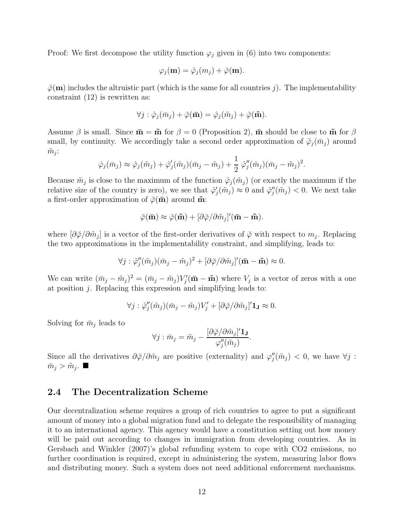Proof: We first decompose the utility function  $\varphi_j$  given in (6) into two components:

$$
\varphi_j(\mathbf{m}) = \hat{\varphi}_j(m_j) + \breve{\varphi}(\mathbf{m}).
$$

 $\phi(\mathbf{m})$  includes the altruistic part (which is the same for all countries j). The implementability constraint (12) is rewritten as:

$$
\forall j: \hat{\varphi}_j(\bar{m}_j) + \breve{\varphi}(\mathbf{\bar{m}}) = \hat{\varphi}_j(\tilde{m}_j) + \breve{\varphi}(\mathbf{\tilde{m}}).
$$

Assume  $\beta$  is small. Since  $\bar{\mathbf{m}} = \tilde{\mathbf{m}}$  for  $\beta = 0$  (Proposition 2),  $\bar{\mathbf{m}}$  should be close to  $\tilde{\mathbf{m}}$  for  $\beta$ small, by continuity. We accordingly take a second order approximation of  $\tilde{\varphi}_j(\bar{m}_j)$  around  $\tilde{m}_j$ :

$$
\hat{\varphi}_j(\bar{m}_j) \approx \hat{\varphi}_j(\tilde{m}_j) + \hat{\varphi}'_j(\tilde{m}_j)(\bar{m}_j - \tilde{m}_j) + \frac{1}{2} \hat{\varphi}''_j(\tilde{m}_j)(\bar{m}_j - \tilde{m}_j)^2.
$$

Because  $\tilde{m}_j$  is close to the maximum of the function  $\hat{\varphi}_j(\tilde{m}_j)$  (or exactly the maximum if the relative size of the country is zero), we see that  $\hat{\varphi}'_j(\tilde{m}_j) \approx 0$  and  $\hat{\varphi}''_j(\tilde{m}_j) < 0$ . We next take a first-order approximation of  $\phi(\mathbf{\bar{m}})$  around  $\mathbf{\tilde{m}}$ :

$$
\breve{\varphi}(\bar{\mathbf{m}}) \approx \breve{\varphi}(\tilde{\mathbf{m}}) + [\partial \breve{\varphi}/\partial \tilde{m}_j]'(\bar{\mathbf{m}} - \tilde{\mathbf{m}}).
$$

where  $[\partial \check{\varphi}/\partial \tilde{m}_j]$  is a vector of the first-order derivatives of  $\check{\varphi}$  with respect to  $m_j$ . Replacing the two approximations in the implementability constraint, and simplifying, leads to:

$$
\forall j : \hat{\varphi}_j''(\tilde{m}_j)(\bar{m}_j - \tilde{m}_j)^2 + [\partial \check{\varphi}/\partial \tilde{m}_j]'(\bar{\mathbf{m}} - \tilde{\mathbf{m}}) \approx 0.
$$

We can write  $(\bar{m}_j - \tilde{m}_j)^2 = (\bar{m}_j - \tilde{m}_j)V'_j(\bar{m} - \tilde{m})$  where  $V_j$  is a vector of zeros with a one at position j. Replacing this expression and simplifying leads to:

$$
\forall j : \hat{\varphi}_{j}''(\tilde{m}_{j})(\bar{m}_{j} - \tilde{m}_{j})V'_{j} + [\partial \check{\varphi}/\partial \tilde{m}_{j}]'\mathbf{1}_{\mathbf{J}} \approx 0.
$$

Solving for  $\bar{m}_j$  leads to

$$
\forall j: \bar{m}_j = \tilde{m}_j - \frac{[\partial \breve{\varphi} / \partial \tilde{m}_j]' \mathbf{1}_\mathbf{J}}{\varphi_j''(\tilde{m}_j)}
$$

.

Since all the derivatives  $\partial \check{\varphi}/\partial \tilde{m}_j$  are positive (externality) and  $\varphi''_j(\tilde{m}_j) < 0$ , we have  $\forall j$ :  $\bar{m}_j > \tilde{m}_j$ .

### 2.4 The Decentralization Scheme

Our decentralization scheme requires a group of rich countries to agree to put a significant amount of money into a global migration fund and to delegate the responsibility of managing it to an international agency. This agency would have a constitution setting out how money will be paid out according to changes in immigration from developing countries. As in Gersbach and Winkler (2007)'s global refunding system to cope with CO2 emissions, no further coordination is required, except in administering the system, measuring labor flows and distributing money. Such a system does not need additional enforcement mechanisms.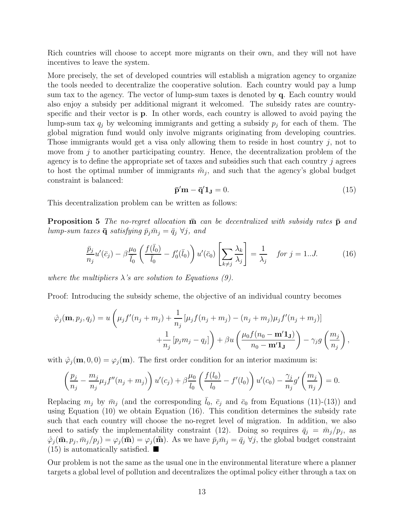Rich countries will choose to accept more migrants on their own, and they will not have incentives to leave the system.

More precisely, the set of developed countries will establish a migration agency to organize the tools needed to decentralize the cooperative solution. Each country would pay a lump sum tax to the agency. The vector of lump-sum taxes is denoted by q. Each country would also enjoy a subsidy per additional migrant it welcomed. The subsidy rates are countryspecific and their vector is p. In other words, each country is allowed to avoid paying the lump-sum tax  $q_j$  by welcoming immigrants and getting a subsidy  $p_j$  for each of them. The global migration fund would only involve migrants originating from developing countries. Those immigrants would get a visa only allowing them to reside in host country j, not to move from  $j$  to another participating country. Hence, the decentralization problem of the agency is to define the appropriate set of taxes and subsidies such that each country  $j$  agrees to host the optimal number of immigrants  $\tilde{m}_j$ , and such that the agency's global budget constraint is balanced:

$$
\mathbf{\bar{p}}'\mathbf{m} - \mathbf{\bar{q}}'\mathbf{1_J} = 0. \tag{15}
$$

This decentralization problem can be written as follows:

**Proposition 5** The no-regret allocation  $\overline{\mathbf{m}}$  can be decentralized with subsidy rates  $\overline{\mathbf{p}}$  and lump-sum taxes  $\bar{\mathbf{q}}$  satisfying  $\bar{p}_j \bar{m}_j = \bar{q}_j \ \forall j$ , and

$$
\frac{\bar{p}_j}{n_j}u'(\bar{c}_j) - \beta \frac{\mu_0}{\bar{l}_0} \left( \frac{f(\bar{l}_0)}{\bar{l}_0} - f'_0(\bar{l}_0) \right) u'(\bar{c}_0) \left[ \sum_{k \neq j} \frac{\lambda_k}{\lambda_j} \right] = \frac{1}{\lambda_j} \quad \text{for } j = 1...J. \tag{16}
$$

where the multipliers  $\lambda$ 's are solution to Equations (9).

Proof: Introducing the subsidy scheme, the objective of an individual country becomes

$$
\hat{\varphi}_j(\mathbf{m}, p_j, q_j) = u\left(\mu_j f'(n_j + m_j) + \frac{1}{n_j} \left[\mu_j f(n_j + m_j) - (n_j + m_j)\mu_j f'(n_j + m_j)\right] + \frac{1}{n_j} \left[p_j m_j - q_j\right] + \beta u \left(\frac{\mu_0 f(n_0 - \mathbf{m}' \mathbf{1}_{\mathbf{J}})}{n_0 - \mathbf{m}' \mathbf{1}_{\mathbf{J}}}\right) - \gamma_j g\left(\frac{m_j}{n_j}\right),
$$

with  $\hat{\varphi}_j(\mathbf{m}, 0, 0) = \varphi_j(\mathbf{m})$ . The first order condition for an interior maximum is:

$$
\left(\frac{p_j}{n_j} - \frac{m_j}{n_j}\mu_j f''(n_j + m_j)\right)u'(c_j) + \beta \frac{\mu_0}{l_0} \left(\frac{f(l_0)}{l_0} - f'(l_0)\right)u'(c_0) - \frac{\gamma_j}{n_j}g'\left(\frac{m_j}{n_j}\right) = 0.
$$

Replacing  $m_j$  by  $\bar{m}_j$  (and the corresponding  $\bar{l}_0$ ,  $\bar{c}_j$  and  $\bar{c}_0$  from Equations (11)-(13)) and using Equation (10) we obtain Equation (16). This condition determines the subsidy rate such that each country will choose the no-regret level of migration. In addition, we also need to satisfy the implementability constraint (12). Doing so requires  $\bar{q}_j = \bar{m}_j/p_j$ , as  $\hat{\varphi}_j(\bar{\mathbf{m}}, p_j, \bar{m}_j/p_j) = \varphi_j(\bar{\mathbf{m}}) = \varphi_j(\tilde{\mathbf{m}})$ . As we have  $\bar{p}_j \bar{m}_j = \bar{q}_j \ \forall j$ , the global budget constraint  $(15)$  is automatically satisfied.  $\blacksquare$ 

Our problem is not the same as the usual one in the environmental literature where a planner targets a global level of pollution and decentralizes the optimal policy either through a tax on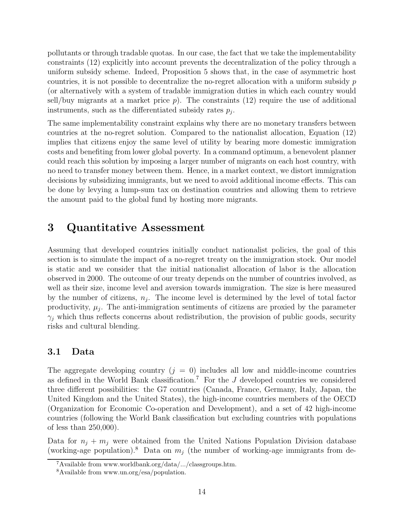pollutants or through tradable quotas. In our case, the fact that we take the implementability constraints (12) explicitly into account prevents the decentralization of the policy through a uniform subsidy scheme. Indeed, Proposition 5 shows that, in the case of asymmetric host countries, it is not possible to decentralize the no-regret allocation with a uniform subsidy  $p$ (or alternatively with a system of tradable immigration duties in which each country would sell/buy migrants at a market price  $p$ ). The constraints (12) require the use of additional instruments, such as the differentiated subsidy rates  $p_j$ .

The same implementability constraint explains why there are no monetary transfers between countries at the no-regret solution. Compared to the nationalist allocation, Equation (12) implies that citizens enjoy the same level of utility by bearing more domestic immigration costs and benefiting from lower global poverty. In a command optimum, a benevolent planner could reach this solution by imposing a larger number of migrants on each host country, with no need to transfer money between them. Hence, in a market context, we distort immigration decisions by subsidizing immigrants, but we need to avoid additional income effects. This can be done by levying a lump-sum tax on destination countries and allowing them to retrieve the amount paid to the global fund by hosting more migrants.

### 3 Quantitative Assessment

Assuming that developed countries initially conduct nationalist policies, the goal of this section is to simulate the impact of a no-regret treaty on the immigration stock. Our model is static and we consider that the initial nationalist allocation of labor is the allocation observed in 2000. The outcome of our treaty depends on the number of countries involved, as well as their size, income level and aversion towards immigration. The size is here measured by the number of citizens,  $n_j$ . The income level is determined by the level of total factor productivity,  $\mu_j$ . The anti-immigration sentiments of citizens are proxied by the parameter  $\gamma_j$  which thus reflects concerns about redistribution, the provision of public goods, security risks and cultural blending.

### 3.1 Data

The aggregate developing country  $(j = 0)$  includes all low and middle-income countries as defined in the World Bank classification.<sup>7</sup> For the  $J$  developed countries we considered three different possibilities: the G7 countries (Canada, France, Germany, Italy, Japan, the United Kingdom and the United States), the high-income countries members of the OECD (Organization for Economic Co-operation and Development), and a set of 42 high-income countries (following the World Bank classification but excluding countries with populations of less than 250,000).

Data for  $n_i + m_j$  were obtained from the United Nations Population Division database (working-age population).<sup>8</sup> Data on  $m_i$  (the number of working-age immigrants from de-

 ${}^{7}$ Available from www.worldbank.org/data/.../classgroups.htm.

<sup>8</sup>Available from www.un.org/esa/population.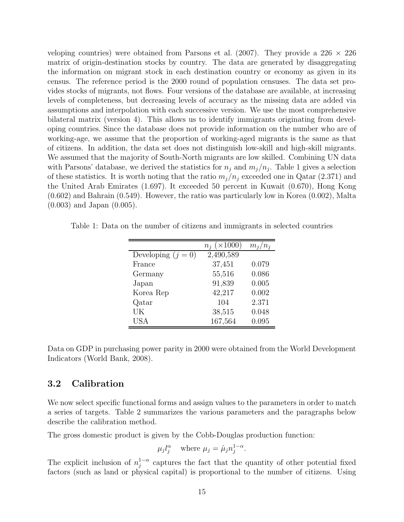veloping countries) were obtained from Parsons et al. (2007). They provide a 226  $\times$  226 matrix of origin-destination stocks by country. The data are generated by disaggregating the information on migrant stock in each destination country or economy as given in its census. The reference period is the 2000 round of population censuses. The data set provides stocks of migrants, not flows. Four versions of the database are available, at increasing levels of completeness, but decreasing levels of accuracy as the missing data are added via assumptions and interpolation with each successive version. We use the most comprehensive bilateral matrix (version 4). This allows us to identify immigrants originating from developing countries. Since the database does not provide information on the number who are of working-age, we assume that the proportion of working-aged migrants is the same as that of citizens. In addition, the data set does not distinguish low-skill and high-skill migrants. We assumed that the majority of South-North migrants are low skilled. Combining UN data with Parsons' database, we derived the statistics for  $n_j$  and  $m_j/n_j$ . Table 1 gives a selection of these statistics. It is worth noting that the ratio  $m_j/n_j$  exceeded one in Qatar (2.371) and the United Arab Emirates (1.697). It exceeded 50 percent in Kuwait (0.670), Hong Kong (0.602) and Bahrain (0.549). However, the ratio was particularly low in Korea (0.002), Malta (0.003) and Japan (0.005).

Table 1: Data on the number of citizens and immigrants in selected countries

|                      | $n_i \ (\times 1000)$ | $m_j/n_j$ |
|----------------------|-----------------------|-----------|
| Developing $(j = 0)$ | 2,490,589             |           |
| France               | 37,451                | 0.079     |
| Germany              | 55,516                | 0.086     |
| Japan                | 91,839                | 0.005     |
| Korea Rep            | 42,217                | 0.002     |
| Qatar                | 104                   | 2.371     |
| UK                   | 38,515                | 0.048     |
| <b>USA</b>           | 167,564               | 0.095     |

Data on GDP in purchasing power parity in 2000 were obtained from the World Development Indicators (World Bank, 2008).

### 3.2 Calibration

We now select specific functional forms and assign values to the parameters in order to match a series of targets. Table 2 summarizes the various parameters and the paragraphs below describe the calibration method.

The gross domestic product is given by the Cobb-Douglas production function:

$$
\mu_j l_j^{\alpha}
$$
 where  $\mu_j = \hat{\mu}_j n_j^{1-\alpha}$ .

The explicit inclusion of  $n_i^{1-\alpha}$  $j^{1-\alpha}$  captures the fact that the quantity of other potential fixed factors (such as land or physical capital) is proportional to the number of citizens. Using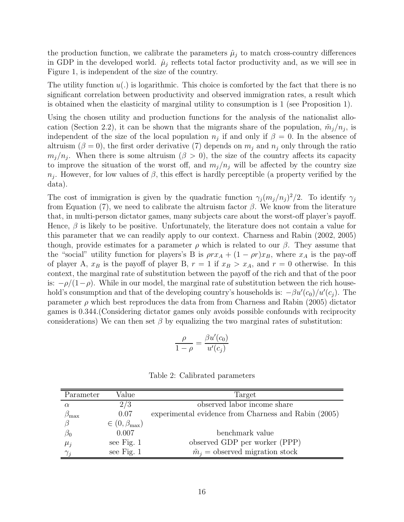the production function, we calibrate the parameters  $\hat{\mu}_j$  to match cross-country differences in GDP in the developed world.  $\hat{\mu}_i$  reflects total factor productivity and, as we will see in Figure 1, is independent of the size of the country.

The utility function  $u(.)$  is logarithmic. This choice is comforted by the fact that there is no significant correlation between productivity and observed immigration rates, a result which is obtained when the elasticity of marginal utility to consumption is 1 (see Proposition 1).

Using the chosen utility and production functions for the analysis of the nationalist allocation (Section 2.2), it can be shown that the migrants share of the population,  $\tilde{m}_j/n_j$ , is independent of the size of the local population  $n_j$  if and only if  $\beta = 0$ . In the absence of altruism ( $\beta = 0$ ), the first order derivative (7) depends on  $m_i$  and  $n_j$  only through the ratio  $m_j/n_j$ . When there is some altruism  $(\beta > 0)$ , the size of the country affects its capacity to improve the situation of the worst off, and  $m_j/n_j$  will be affected by the country size  $n_j$ . However, for low values of  $\beta$ , this effect is hardly perceptible (a property verified by the data).

The cost of immigration is given by the quadratic function  $\gamma_j (m_j/n_j)^2/2$ . To identify  $\gamma_j$ from Equation (7), we need to calibrate the altruism factor  $\beta$ . We know from the literature that, in multi-person dictator games, many subjects care about the worst-off player's payoff. Hence,  $\beta$  is likely to be positive. Unfortunately, the literature does not contain a value for this parameter that we can readily apply to our context. Charness and Rabin (2002, 2005) though, provide estimates for a parameter  $\rho$  which is related to our  $\beta$ . They assume that the "social" utility function for players's B is  $\rho r x_A + (1 - \rho r) x_B$ , where  $x_A$  is the pay-off of player A,  $x_B$  is the payoff of player B,  $r = 1$  if  $x_B > x_A$ , and  $r = 0$  otherwise. In this context, the marginal rate of substitution between the payoff of the rich and that of the poor is:  $-\rho/(1-\rho)$ . While in our model, the marginal rate of substitution between the rich household's consumption and that of the developing country's households is:  $-\beta u'(c_0)/u'(c_j)$ . The parameter  $\rho$  which best reproduces the data from from Charness and Rabin (2005) dictator games is 0.344.(Considering dictator games only avoids possible confounds with reciprocity considerations) We can then set  $\beta$  by equalizing the two marginal rates of substitution:

$$
\frac{\rho}{1-\rho} = \frac{\beta u'(c_0)}{u'(c_j)}
$$

| Parameter         | Value                         | Target                                               |
|-------------------|-------------------------------|------------------------------------------------------|
| $\alpha$          | 2/3                           | observed labor income share                          |
| $\beta_{\rm max}$ | 0.07                          | experimental evidence from Charness and Rabin (2005) |
|                   | $\in (0, \beta_{\text{max}})$ |                                                      |
| $\beta_0$         | 0.007                         | benchmark value                                      |
| $\mu_j$           | see Fig. $1$                  | observed GDP per worker (PPP)                        |
|                   | see Fig. 1                    | $\tilde{m}_i$ = observed migration stock             |

Table 2: Calibrated parameters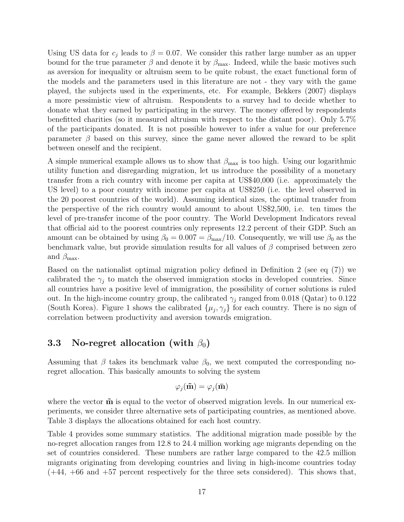Using US data for  $c_j$  leads to  $\beta = 0.07$ . We consider this rather large number as an upper bound for the true parameter  $\beta$  and denote it by  $\beta_{\text{max}}$ . Indeed, while the basic motives such as aversion for inequality or altruism seem to be quite robust, the exact functional form of the models and the parameters used in this literature are not - they vary with the game played, the subjects used in the experiments, etc. For example, Bekkers (2007) displays a more pessimistic view of altruism. Respondents to a survey had to decide whether to donate what they earned by participating in the survey. The money offered by respondents benefitted charities (so it measured altruism with respect to the distant poor). Only 5.7% of the participants donated. It is not possible however to infer a value for our preference parameter  $\beta$  based on this survey, since the game never allowed the reward to be split between oneself and the recipient.

A simple numerical example allows us to show that  $\beta_{\text{max}}$  is too high. Using our logarithmic utility function and disregarding migration, let us introduce the possibility of a monetary transfer from a rich country with income per capita at US\$40,000 (i.e. approximately the US level) to a poor country with income per capita at US\$250 (i.e. the level observed in the 20 poorest countries of the world). Assuming identical sizes, the optimal transfer from the perspective of the rich country would amount to about US\$2,500, i.e. ten times the level of pre-transfer income of the poor country. The World Development Indicators reveal that official aid to the poorest countries only represents 12.2 percent of their GDP. Such an amount can be obtained by using  $\beta_0 = 0.007 = \beta_{\text{max}}/10$ . Consequently, we will use  $\beta_0$  as the benchmark value, but provide simulation results for all values of  $\beta$  comprised between zero and  $\beta_{\text{max}}$ .

Based on the nationalist optimal migration policy defined in Definition 2 (see eq (7)) we calibrated the  $\gamma_i$  to match the observed immigration stocks in developed countries. Since all countries have a positive level of immigration, the possibility of corner solutions is ruled out. In the high-income country group, the calibrated  $\gamma_i$  ranged from 0.018 (Qatar) to 0.122 (South Korea). Figure 1 shows the calibrated  $\{\mu_j, \gamma_j\}$  for each country. There is no sign of correlation between productivity and aversion towards emigration.

### 3.3 No-regret allocation (with  $\beta_0$ )

Assuming that  $\beta$  takes its benchmark value  $\beta_0$ , we next computed the corresponding noregret allocation. This basically amounts to solving the system

$$
\varphi_j(\tilde{\mathbf{m}}) = \varphi_j(\bar{\mathbf{m}})
$$

where the vector  $\tilde{\mathbf{m}}$  is equal to the vector of observed migration levels. In our numerical experiments, we consider three alternative sets of participating countries, as mentioned above. Table 3 displays the allocations obtained for each host country.

Table 4 provides some summary statistics. The additional migration made possible by the no-regret allocation ranges from 12.8 to 24.4 million working age migrants depending on the set of countries considered. These numbers are rather large compared to the 42.5 million migrants originating from developing countries and living in high-income countries today  $(+44, +66$  and  $+57$  percent respectively for the three sets considered). This shows that,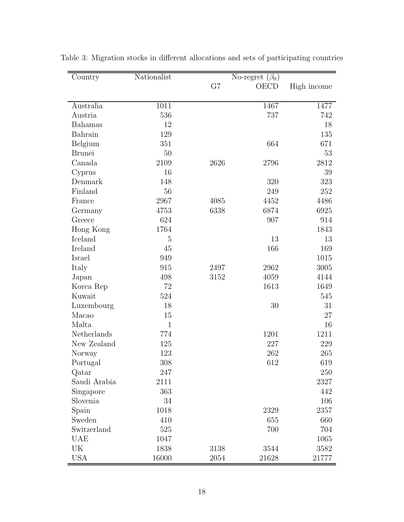| Country        | Nationalist    |      | No-regret $(\beta_0)$ |             |  |
|----------------|----------------|------|-----------------------|-------------|--|
|                |                | G7   | OECD                  | High income |  |
|                |                |      |                       |             |  |
| Australia      | 1011           |      | 1467                  | 1477        |  |
| Austria        | 536            |      | 737                   | 742         |  |
| <b>Bahamas</b> | 12             |      |                       | 18          |  |
| Bahrain        | 129            |      |                       | 135         |  |
| Belgium        | 351            |      | 664                   | 671         |  |
| <b>Brunei</b>  | 50             |      |                       | 53          |  |
| Canada         | 2109           | 2626 | 2796                  | 2812        |  |
| Cyprus         | 16             |      |                       | 39          |  |
| Denmark        | 148            |      | 320                   | 323         |  |
| Finland        | 56             |      | 249                   | 252         |  |
| France         | 2967           | 4085 | 4452                  | 4486        |  |
| Germany        | 4753           | 6338 | 6874                  | 6925        |  |
| Greece         | 624            |      | 907                   | 914         |  |
| Hong Kong      | 1764           |      |                       | 1843        |  |
| Iceland        | $\overline{5}$ |      | 13                    | 13          |  |
| Ireland        | 45             |      | 166                   | 169         |  |
| Israel         | 949            |      |                       | 1015        |  |
| Italy          | 915            | 2497 | 2962                  | 3005        |  |
| Japan          | 498            | 3152 | 4059                  | 4144        |  |
| Korea Rep      | 72             |      | 1613                  | 1649        |  |
| Kuwait         | 524            |      |                       | 545         |  |
| Luxembourg     | 18             |      | 30                    | 31          |  |
| Macao          | 15             |      |                       | $27\,$      |  |
| Malta          | $\mathbf{1}$   |      |                       | 16          |  |
| Netherlands    | 774            |      | 1201                  | 1211        |  |
| New Zealand    | 125            |      | 227                   | 229         |  |
| Norway         | 123            |      | 262                   | 265         |  |
| Portugal       | 308            |      | 612                   | 619         |  |
| Qatar          | 247            |      |                       | 250         |  |
| Saudi Arabia   | 2111           |      |                       | 2327        |  |
| Singapore      | 363            |      |                       | 442         |  |
| Slovenia       | 34             |      |                       | 106         |  |
| Spain          | 1018           |      | 2329                  | 2357        |  |
| Sweden         | 410            |      | 655                   | 660         |  |
| Switzerland    | 525            |      | 700                   | 704         |  |
| <b>UAE</b>     | 1047           |      |                       | 1065        |  |
| UK             | 1838           | 3138 | 3544                  | 3582        |  |
| <b>USA</b>     | 16000          | 2054 | 21628                 | 21777       |  |

Table 3: Migration stocks in different allocations and sets of participating countries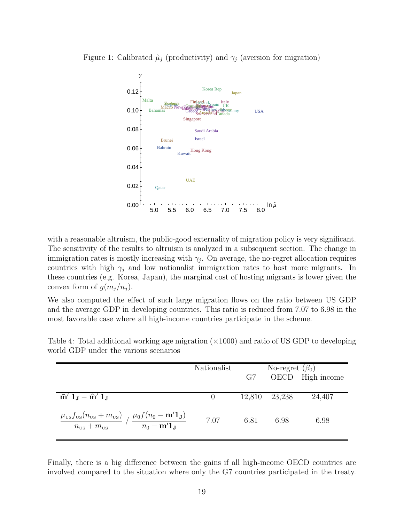



with a reasonable altruism, the public-good externality of migration policy is very significant. The sensitivity of the results to altruism is analyzed in a subsequent section. The change in immigration rates is mostly increasing with  $\gamma_j$ . On average, the no-regret allocation requires countries with high  $\gamma_i$  and low nationalist immigration rates to host more migrants. In these countries (e.g. Korea, Japan), the marginal cost of hosting migrants is lower given the convex form of  $g(m_i/n_i)$ .

We also computed the effect of such large migration flows on the ratio between US GDP and the average GDP in developing countries. This ratio is reduced from 7.07 to 6.98 in the most favorable case where all high-income countries participate in the scheme.

|                                                                                                                                                                               | Nationalist | G7     | No-regret $(\beta_0)$ | OECD High income |
|-------------------------------------------------------------------------------------------------------------------------------------------------------------------------------|-------------|--------|-----------------------|------------------|
| $\bar{m}' 1_J - \tilde{m}' 1_J$                                                                                                                                               |             | 12,810 | 23,238                | 24,407           |
| $\frac{\mu_{\text{us}}f_{\text{us}}(n_{\text{us}}+m_{\text{us}})}{n_{\text{us}}+m_{\text{us}}}\bigm/ \frac{\mu_0f(n_0-\mathbf{m}'\mathbf{1_J})}{n_0-\mathbf{m}'\mathbf{1_J}}$ | 7.07        | 6.81   | 6.98                  | 6.98             |

Table 4: Total additional working age migration (×1000) and ratio of US GDP to developing world GDP under the various scenarios

Finally, there is a big difference between the gains if all high-income OECD countries are involved compared to the situation where only the G7 countries participated in the treaty.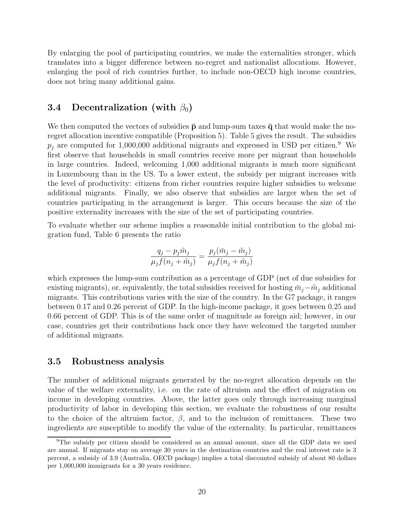By enlarging the pool of participating countries, we make the externalities stronger, which translates into a bigger difference between no-regret and nationalist allocations. However, enlarging the pool of rich countries further, to include non-OECD high income countries, does not bring many additional gains.

### 3.4 Decentralization (with  $\beta_0$ )

We then computed the vectors of subsidies  $\bar{p}$  and lump-sum taxes  $\bar{q}$  that would make the noregret allocation incentive compatible (Proposition 5). Table 5 gives the result. The subsidies  $p_j$  are computed for 1,000,000 additional migrants and expressed in USD per citizen.<sup>9</sup> We first observe that households in small countries receive more per migrant than households in large countries. Indeed, welcoming 1,000 additional migrants is much more significant in Luxembourg than in the US. To a lower extent, the subsidy per migrant increases with the level of productivity: citizens from richer countries require higher subsidies to welcome additional migrants. Finally, we also observe that subsidies are larger when the set of countries participating in the arrangement is larger. This occurs because the size of the positive externality increases with the size of the set of participating countries.

To evaluate whether our scheme implies a reasonable initial contribution to the global migration fund, Table 6 presents the ratio

$$
\frac{q_j - p_j \tilde{m}_j}{\mu_j f(n_j + \tilde{m}_j)} = \frac{p_j(\bar{m}_j - \tilde{m}_j)}{\mu_j f(n_j + \tilde{m}_j)}
$$

which expresses the lump-sum contribution as a percentage of GDP (net of due subsidies for existing migrants), or, equivalently, the total subsidies received for hosting  $\bar{m}_i - \tilde{m}_i$  additional migrants. This contributions varies with the size of the country. In the G7 package, it ranges between 0.17 and 0.26 percent of GDP. In the high-income package, it goes between 0.25 and 0.66 percent of GDP. This is of the same order of magnitude as foreign aid; however, in our case, countries get their contributions back once they have welcomed the targeted number of additional migrants.

### 3.5 Robustness analysis

The number of additional migrants generated by the no-regret allocation depends on the value of the welfare externality, i.e. on the rate of altruism and the effect of migration on income in developing countries. Above, the latter goes only through increasing marginal productivity of labor in developing this section, we evaluate the robustness of our results to the choice of the altruism factor,  $\beta$ , and to the inclusion of remittances. These two ingredients are susceptible to modify the value of the externality. In particular, remittances

<sup>&</sup>lt;sup>9</sup>The subsidy per citizen should be considered as an annual amount, since all the GDP data we used are annual. If migrants stay on average 30 years in the destination countries and the real interest rate is 3 percent, a subsidy of 3.9 (Australia, OECD package) implies a total discounted subsidy of about 80 dollars per 1,000,000 immigrants for a 30 years residence.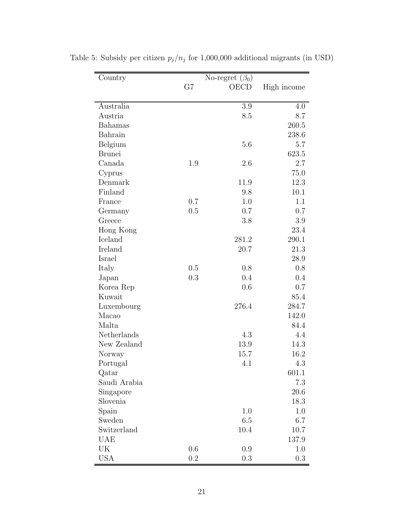| Country       | No-regret $(\beta_0)$ |         |             |
|---------------|-----------------------|---------|-------------|
|               | G7                    | OECD    | High income |
|               |                       |         |             |
| Australia     |                       | 3.9     | 4.0         |
| Austria       |                       | 8.5     | 8.7         |
| Bahamas       |                       |         | 260.5       |
| Bahrain       |                       |         | 238.6       |
| Belgium       |                       | 5.6     | 5.7         |
| <b>Brunei</b> |                       |         | 623.5       |
| Canada        | 1.9                   | 2.6     | 2.7         |
| Cyprus        |                       |         | 75.0        |
| Denmark       |                       | 11.9    | 12.3        |
| Finland       |                       | 9.8     | 10.1        |
| France        | 0.7                   | 1.0     | 1.1         |
| Germany       | 0.5                   | 0.7     | 0.7         |
| Greece        |                       | 3.8     | 3.9         |
| Hong Kong     |                       |         | 23.4        |
| Iceland       |                       | 281.2   | 290.1       |
| Ireland       |                       | 20.7    | 21.3        |
| Israel        |                       |         | 28.9        |
| Italy         | 0.5                   | 0.8     | 0.8         |
| Japan         | 0.3                   | 0.4     | 0.4         |
| Korea Rep     |                       | 0.6     | 0.7         |
| Kuwait        |                       |         | 85.4        |
| Luxembourg    |                       | 276.4   | 284.7       |
| Macao         |                       |         | 142.0       |
| Malta         |                       |         | 84.4        |
| Netherlands   |                       | 4.3     | 4.4         |
| New Zealand   |                       | 13.9    | 14.3        |
| Norway        |                       | 15.7    | 16.2        |
| Portugal      |                       | 4.1     | 4.3         |
| Qatar         |                       |         | 601.1       |
| Saudi Arabia  |                       |         | 7.3         |
| Singapore     |                       |         | 20.6        |
| Slovenia      |                       |         | 18.3        |
| Spain         |                       | 1.0     | 1.0         |
| Sweden        |                       | 6.5     | 6.7         |
| Switzerland   |                       | 10.4    | 10.7        |
| <b>UAE</b>    |                       |         | 137.9       |
| UK            | 0.6                   | $0.9\,$ | 1.0         |
| USA           | 0.2                   | 0.3     | 0.3         |

Table 5: Subsidy per citizen  $p_j/n_j$  for 1,000,000 additional migrants (in USD)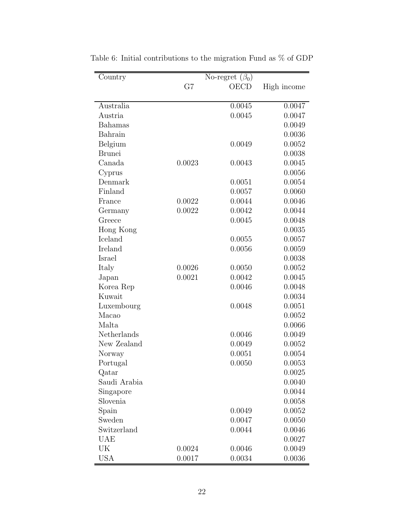| Country       |        | No-regret $(\beta_0)$ |             |
|---------------|--------|-----------------------|-------------|
|               | G7     | OECD                  | High income |
|               |        |                       |             |
| Australia     |        | 0.0045                | 0.0047      |
| Austria       |        | 0.0045                | 0.0047      |
| Bahamas       |        |                       | 0.0049      |
| Bahrain       |        |                       | 0.0036      |
| Belgium       |        | 0.0049                | 0.0052      |
| <b>Brunei</b> |        |                       | 0.0038      |
| Canada        | 0.0023 | 0.0043                | 0.0045      |
| Cyprus        |        |                       | 0.0056      |
| Denmark       |        | 0.0051                | 0.0054      |
| Finland       |        | 0.0057                | 0.0060      |
| France        | 0.0022 | 0.0044                | 0.0046      |
| Germany       | 0.0022 | 0.0042                | 0.0044      |
| Greece        |        | 0.0045                | 0.0048      |
| Hong Kong     |        |                       | 0.0035      |
| Iceland       |        | 0.0055                | 0.0057      |
| Ireland       |        | 0.0056                | 0.0059      |
| Israel        |        |                       | 0.0038      |
| Italy         | 0.0026 | 0.0050                | 0.0052      |
| Japan         | 0.0021 | 0.0042                | 0.0045      |
| Korea Rep     |        | 0.0046                | 0.0048      |
| Kuwait        |        |                       | 0.0034      |
| Luxembourg    |        | 0.0048                | 0.0051      |
| Macao         |        |                       | 0.0052      |
| Malta         |        |                       | 0.0066      |
| Netherlands   |        | 0.0046                | 0.0049      |
| New Zealand   |        | 0.0049                | 0.0052      |
| Norway        |        | 0.0051                | 0.0054      |
| Portugal      |        | 0.0050                | 0.0053      |
| Qatar         |        |                       | 0.0025      |
| Saudi Arabia  |        |                       | 0.0040      |
| Singapore     |        |                       | 0.0044      |
| Slovenia      |        |                       | 0.0058      |
| Spain         |        | 0.0049                | 0.0052      |
| Sweden        |        | 0.0047                | 0.0050      |
| Switzerland   |        | 0.0044                | 0.0046      |
| UAE           |        |                       | 0.0027      |
| UK            | 0.0024 | 0.0046                | 0.0049      |
| USA           | 0.0017 | 0.0034                | 0.0036      |

Table 6: Initial contributions to the migration Fund as  $\%$  of GDP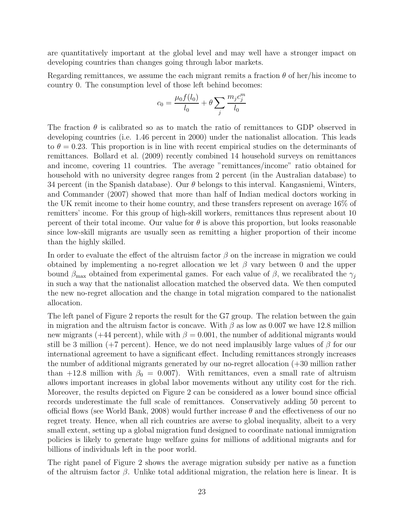are quantitatively important at the global level and may well have a stronger impact on developing countries than changes going through labor markets.

Regarding remittances, we assume the each migrant remits a fraction  $\theta$  of her/his income to country 0. The consumption level of those left behind becomes:

$$
c_0 = \frac{\mu_0 f(l_0)}{l_0} + \theta \sum_j \frac{m_j c_j^m}{l_0}
$$

The fraction  $\theta$  is calibrated so as to match the ratio of remittances to GDP observed in developing countries (i.e. 1.46 percent in 2000) under the nationalist allocation. This leads to  $\theta = 0.23$ . This proportion is in line with recent empirical studies on the determinants of remittances. Bollard et al. (2009) recently combined 14 household surveys on remittances and income, covering 11 countries. The average "remittances/income" ratio obtained for household with no university degree ranges from 2 percent (in the Australian database) to 34 percent (in the Spanish database). Our  $\theta$  belongs to this interval. Kangasniemi, Winters, and Commander (2007) showed that more than half of Indian medical doctors working in the UK remit income to their home country, and these transfers represent on average 16% of remitters' income. For this group of high-skill workers, remittances thus represent about 10 percent of their total income. Our value for  $\theta$  is above this proportion, but looks reasonable since low-skill migrants are usually seen as remitting a higher proportion of their income than the highly skilled.

In order to evaluate the effect of the altruism factor  $\beta$  on the increase in migration we could obtained by implementing a no-regret allocation we let  $\beta$  vary between 0 and the upper bound  $\beta_{\text{max}}$  obtained from experimental games. For each value of  $\beta$ , we recalibrated the  $\gamma_i$ in such a way that the nationalist allocation matched the observed data. We then computed the new no-regret allocation and the change in total migration compared to the nationalist allocation.

The left panel of Figure 2 reports the result for the G7 group. The relation between the gain in migration and the altruism factor is concave. With  $\beta$  as low as 0.007 we have 12.8 million new migrants (+44 percent), while with  $\beta = 0.001$ , the number of additional migrants would still be 3 million (+7 percent). Hence, we do not need implausibly large values of  $\beta$  for our international agreement to have a significant effect. Including remittances strongly increases the number of additional migrants generated by our no-regret allocation (+30 million rather than +12.8 million with  $\beta_0 = 0.007$ . With remittances, even a small rate of altruism allows important increases in global labor movements without any utility cost for the rich. Moreover, the results depicted on Figure 2 can be considered as a lower bound since official records underestimate the full scale of remittances. Conservatively adding 50 percent to official flows (see World Bank, 2008) would further increase  $\theta$  and the effectiveness of our no regret treaty. Hence, when all rich countries are averse to global inequality, albeit to a very small extent, setting up a global migration fund designed to coordinate national immigration policies is likely to generate huge welfare gains for millions of additional migrants and for billions of individuals left in the poor world.

The right panel of Figure 2 shows the average migration subsidy per native as a function of the altruism factor  $\beta$ . Unlike total additional migration, the relation here is linear. It is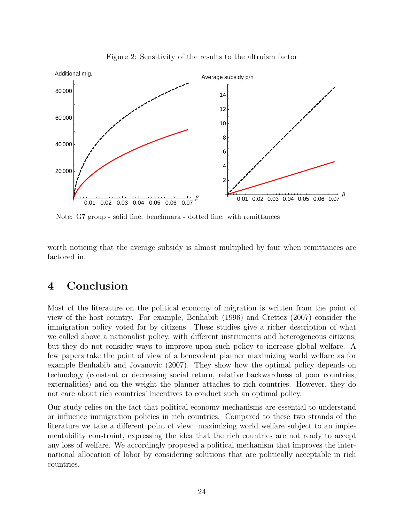

Figure 2: Sensitivity of the results to the altruism factor

Note: G7 group - solid line: benchmark - dotted line: with remittances

worth noticing that the average subsidy is almost multiplied by four when remittances are factored in.

# 4 Conclusion

Most of the literature on the political economy of migration is written from the point of view of the host country. For example, Benhabib (1996) and Crettez (2007) consider the immigration policy voted for by citizens. These studies give a richer description of what we called above a nationalist policy, with different instruments and heterogeneous citizens, but they do not consider ways to improve upon such policy to increase global welfare. A few papers take the point of view of a benevolent planner maximizing world welfare as for example Benhabib and Jovanovic (2007). They show how the optimal policy depends on technology (constant or decreasing social return, relative backwardness of poor countries, externalities) and on the weight the planner attaches to rich countries. However, they do not care about rich countries' incentives to conduct such an optimal policy.

Our study relies on the fact that political economy mechanisms are essential to understand or influence immigration policies in rich countries. Compared to these two strands of the literature we take a different point of view: maximizing world welfare subject to an implementability constraint, expressing the idea that the rich countries are not ready to accept any loss of welfare. We accordingly proposed a political mechanism that improves the international allocation of labor by considering solutions that are politically acceptable in rich countries.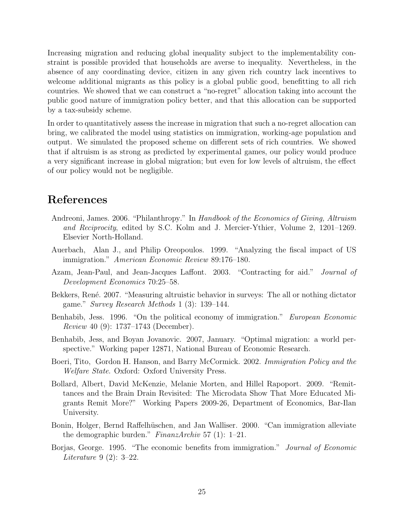Increasing migration and reducing global inequality subject to the implementability constraint is possible provided that households are averse to inequality. Nevertheless, in the absence of any coordinating device, citizen in any given rich country lack incentives to welcome additional migrants as this policy is a global public good, benefitting to all rich countries. We showed that we can construct a "no-regret" allocation taking into account the public good nature of immigration policy better, and that this allocation can be supported by a tax-subsidy scheme.

In order to quantitatively assess the increase in migration that such a no-regret allocation can bring, we calibrated the model using statistics on immigration, working-age population and output. We simulated the proposed scheme on different sets of rich countries. We showed that if altruism is as strong as predicted by experimental games, our policy would produce a very significant increase in global migration; but even for low levels of altruism, the effect of our policy would not be negligible.

# References

- Andreoni, James. 2006. "Philanthropy." In Handbook of the Economics of Giving, Altruism and Reciprocity, edited by S.C. Kolm and J. Mercier-Ythier, Volume 2, 1201–1269. Elsevier North-Holland.
- Auerbach, Alan J., and Philip Oreopoulos. 1999. "Analyzing the fiscal impact of US immigration." American Economic Review 89:176–180.
- Azam, Jean-Paul, and Jean-Jacques Laffont. 2003. "Contracting for aid." Journal of Development Economics 70:25–58.
- Bekkers, René. 2007. "Measuring altruistic behavior in surveys: The all or nothing dictator game." Survey Research Methods 1 (3): 139–144.
- Benhabib, Jess. 1996. "On the political economy of immigration." European Economic Review 40 (9): 1737–1743 (December).
- Benhabib, Jess, and Boyan Jovanovic. 2007, January. "Optimal migration: a world perspective." Working paper 12871, National Bureau of Economic Research.
- Boeri, Tito, Gordon H. Hanson, and Barry McCormick. 2002. Immigration Policy and the Welfare State. Oxford: Oxford University Press.
- Bollard, Albert, David McKenzie, Melanie Morten, and Hillel Rapoport. 2009. "Remittances and the Brain Drain Revisited: The Microdata Show That More Educated Migrants Remit More?" Working Papers 2009-26, Department of Economics, Bar-Ilan University.
- Bonin, Holger, Bernd Raffelhüschen, and Jan Walliser. 2000. "Can immigration alleviate the demographic burden." FinanzArchiv 57 (1): 1–21.
- Borjas, George. 1995. "The economic benefits from immigration." Journal of Economic Literature 9 (2): 3–22.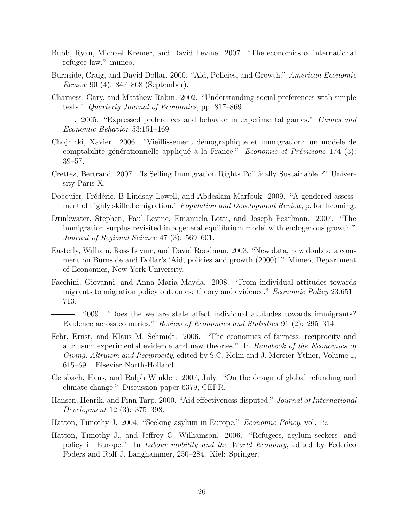- Bubb, Ryan, Michael Kremer, and David Levine. 2007. "The economics of international refugee law." mimeo.
- Burnside, Craig, and David Dollar. 2000. "Aid, Policies, and Growth." American Economic Review 90 (4): 847–868 (September).
- Charness, Gary, and Matthew Rabin. 2002. "Understanding social preferences with simple tests." Quarterly Journal of Economics, pp. 817–869.
- -. 2005. "Expressed preferences and behavior in experimental games." Games and Economic Behavior 53:151–169.
- Chojnicki, Xavier. 2006. "Vieillissement démographique et immigration: un modèle de comptabilité générationnelle appliqué à la France." Economie et Prévisions 174 (3): 39–57.
- Crettez, Bertrand. 2007. "Is Selling Immigration Rights Politically Sustainable ?" University Paris X.
- Docquier, Frédéric, B Lindsay Lowell, and Abdeslam Marfouk. 2009. "A gendered assessment of highly skilled emigration." *Population and Development Review*, p. forthcoming.
- Drinkwater, Stephen, Paul Levine, Emanuela Lotti, and Joseph Pearlman. 2007. "The immigration surplus revisited in a general equilibrium model with endogenous growth." Journal of Regional Science 47 (3): 569–601.
- Easterly, William, Ross Levine, and David Roodman. 2003. "New data, new doubts: a comment on Burnside and Dollar's 'Aid, policies and growth (2000)'." Mimeo, Department of Economics, New York University.
- Facchini, Giovanni, and Anna Maria Mayda. 2008. "From individual attitudes towards migrants to migration policy outcomes: theory and evidence." Economic Policy 23:651– 713.
	- . 2009. "Does the welfare state affect individual attitudes towards immigrants? Evidence across countries." Review of Economics and Statistics 91 (2): 295–314.
- Fehr, Ernst, and Klaus M. Schmidt. 2006. "The economics of fairness, reciprocity and altruism: experimental evidence and new theories." In Handbook of the Economics of Giving, Altruism and Reciprocity, edited by S.C. Kolm and J. Mercier-Ythier, Volume 1, 615–691. Elsevier North-Holland.
- Gersbach, Hans, and Ralph Winkler. 2007, July. "On the design of global refunding and climate change." Discussion paper 6379, CEPR.
- Hansen, Henrik, and Finn Tarp. 2000. "Aid effectiveness disputed." Journal of International Development 12 (3): 375–398.
- Hatton, Timothy J. 2004. "Seeking asylum in Europe." Economic Policy, vol. 19.
- Hatton, Timothy J., and Jeffrey G. Williamson. 2006. "Refugees, asylum seekers, and policy in Europe." In Labour mobility and the World Economy, edited by Federico Foders and Rolf J. Langhammer, 250–284. Kiel: Springer.